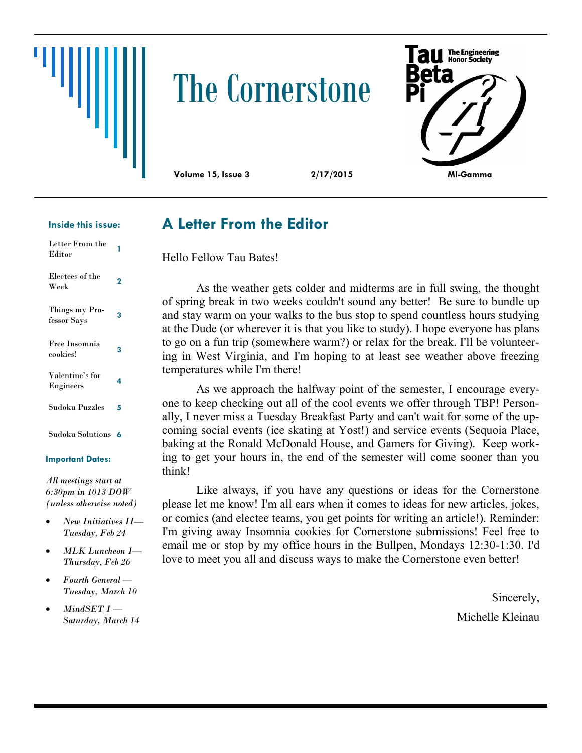

# The Cornerstone



#### **Inside this issue:**

| Letter From the<br>Editor     |   |
|-------------------------------|---|
| Electees of the<br>Week       | 2 |
| Things my Pro-<br>fessor Says | 3 |
| Free Insomnia<br>cookies!     | 3 |
| Valentine's for<br>Engineers  | 4 |
| Sudoku Puzzles                | 5 |
| Sudoku Solutions              | 6 |

#### **Important Dates:**

*All meetings start at 6:30pm in 1013 DOW (unless otherwise noted)*

- *New Initiatives II— Tuesday, Feb 24*
- *MLK Luncheon I— Thursday, Feb 26*
- *Fourth General — Tuesday, March 10*
- *MindSET I — Saturday, March 14*

#### **A Letter From the Editor**

Hello Fellow Tau Bates!

As the weather gets colder and midterms are in full swing, the thought of spring break in two weeks couldn't sound any better! Be sure to bundle up and stay warm on your walks to the bus stop to spend countless hours studying at the Dude (or wherever it is that you like to study). I hope everyone has plans to go on a fun trip (somewhere warm?) or relax for the break. I'll be volunteering in West Virginia, and I'm hoping to at least see weather above freezing temperatures while I'm there!

As we approach the halfway point of the semester, I encourage everyone to keep checking out all of the cool events we offer through TBP! Personally, I never miss a Tuesday Breakfast Party and can't wait for some of the upcoming social events (ice skating at Yost!) and service events (Sequoia Place, baking at the Ronald McDonald House, and Gamers for Giving). Keep working to get your hours in, the end of the semester will come sooner than you think!

Like always, if you have any questions or ideas for the Cornerstone please let me know! I'm all ears when it comes to ideas for new articles, jokes, or comics (and electee teams, you get points for writing an article!). Reminder: I'm giving away Insomnia cookies for Cornerstone submissions! Feel free to email me or stop by my office hours in the Bullpen, Mondays 12:30-1:30. I'd love to meet you all and discuss ways to make the Cornerstone even better!

> Sincerely, Michelle Kleinau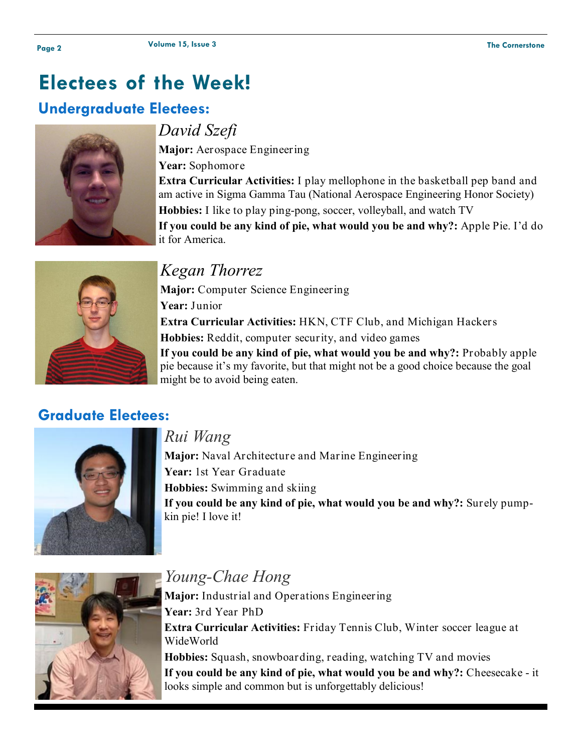## **Electees of the Week!**

#### **Undergraduate Electees:**



#### *David Szefi*

**Major:** Aerospace Engineering **Year:** Sophomore **Extra Curricular Activities:** I play mellophone in the basketball pep band and am active in Sigma Gamma Tau (National Aerospace Engineering Honor Society) **Hobbies:** I like to play ping-pong, soccer, volleyball, and watch TV **If you could be any kind of pie, what would you be and why?:** Apple Pie. I'd do it for America.



### *Kegan Thorrez*

**Major:** Computer Science Engineering **Year:** Junior **Extra Curricular Activities:** HKN, CTF Club, and Michigan Hackers **Hobbies:** Reddit, computer security, and video games **If you could be any kind of pie, what would you be and why?:** Probably apple pie because it's my favorite, but that might not be a good choice because the goal might be to avoid being eaten.

#### **Graduate Electees:**



#### *Rui Wang*

**Major:** Naval Architecture and Marine Engineering **Year:** 1st Year Graduate **Hobbies:** Swimming and skiing **If you could be any kind of pie, what would you be and why?:** Surely pumpkin pie! I love it!



## *Young-Chae Hong*

**Major:** Industrial and Operations Engineering **Year:** 3rd Year PhD **Extra Curricular Activities:** Friday Tennis Club, Winter soccer league at WideWorld **Hobbies:** Squash, snowboarding, reading, watching TV and movies

**If you could be any kind of pie, what would you be and why?:** Cheesecake - it looks simple and common but is unforgettably delicious!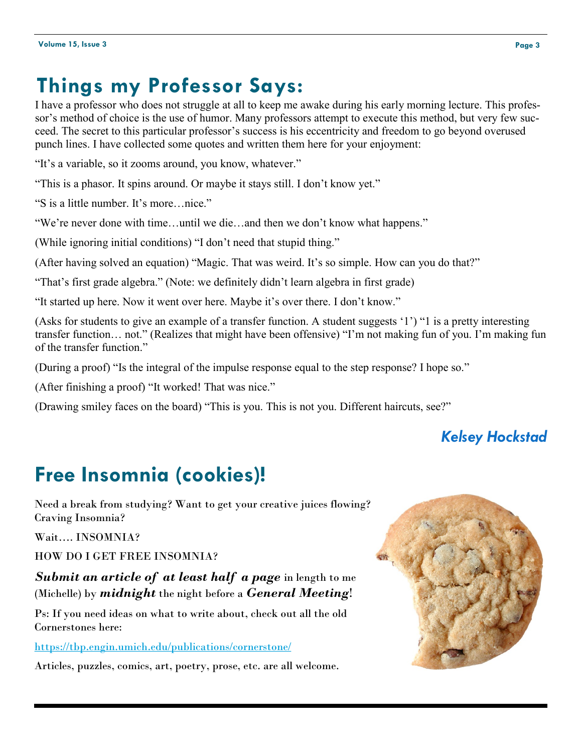## **Things my Professor Says:**

I have a professor who does not struggle at all to keep me awake during his early morning lecture. This professor's method of choice is the use of humor. Many professors attempt to execute this method, but very few succeed. The secret to this particular professor's success is his eccentricity and freedom to go beyond overused punch lines. I have collected some quotes and written them here for your enjoyment:

"It's a variable, so it zooms around, you know, whatever."

"This is a phasor. It spins around. Or maybe it stays still. I don't know yet."

"S is a little number. It's more…nice."

"We're never done with time…until we die…and then we don't know what happens."

(While ignoring initial conditions) "I don't need that stupid thing."

(After having solved an equation) "Magic. That was weird. It's so simple. How can you do that?"

"That's first grade algebra." (Note: we definitely didn't learn algebra in first grade)

"It started up here. Now it went over here. Maybe it's over there. I don't know."

(Asks for students to give an example of a transfer function. A student suggests '1') "1 is a pretty interesting transfer function… not." (Realizes that might have been offensive) "I'm not making fun of you. I'm making fun of the transfer function."

(During a proof) "Is the integral of the impulse response equal to the step response? I hope so."

(After finishing a proof) "It worked! That was nice."

(Drawing smiley faces on the board) "This is you. This is not you. Different haircuts, see?"

#### *Kelsey Hockstad*

# **Free Insomnia (cookies)!**

Need a break from studying? Want to get your creative juices flowing? Craving Insomnia?

Wait…. INSOMNIA?

HOW DO I GET FREE INSOMNIA?

*Submit an article of at least half a page* in length to me (Michelle) by *midnight* the night before a *General Meeting*!

Ps: If you need ideas on what to write about, check out all the old Cornerstones here:

<https://tbp.engin.umich.edu/publications/cornerstone/>

Articles, puzzles, comics, art, poetry, prose, etc. are all welcome.

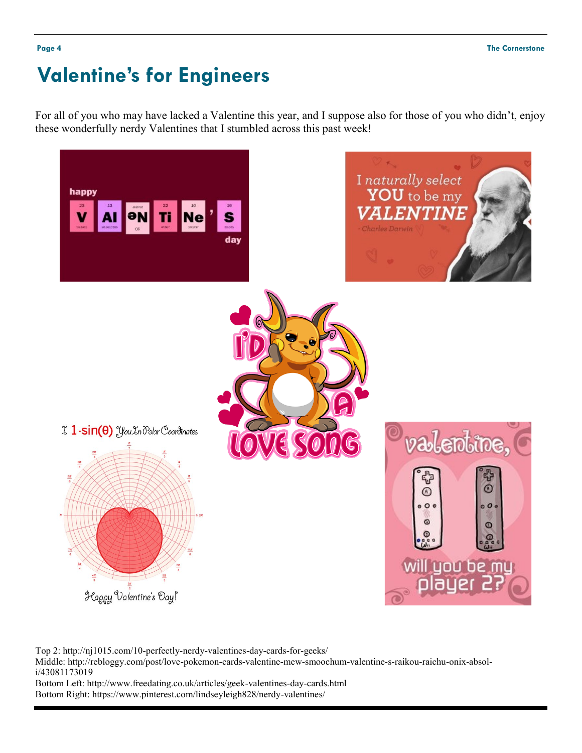## **Valentine's for Engineers**

For all of you who may have lacked a Valentine this year, and I suppose also for those of you who didn't, enjoy these wonderfully nerdy Valentines that I stumbled across this past week!



Top 2: http://nj1015.com/10-perfectly-nerdy-valentines-day-cards-for-geeks/

Middle: http://rebloggy.com/post/love-pokemon-cards-valentine-mew-smoochum-valentine-s-raikou-raichu-onix-absoli/43081173019

Bottom Left: http://www.freedating.co.uk/articles/geek-valentines-day-cards.html Bottom Right: https://www.pinterest.com/lindseyleigh828/nerdy-valentines/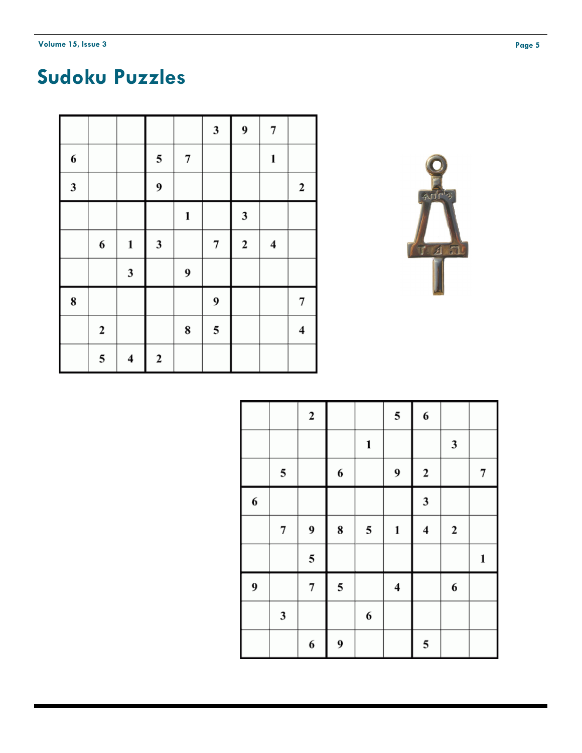## **Sudoku Puzzles**

|                         |                  |                         |                  |                         | $\mathbf{3}$     | 9            | 7                       |              |
|-------------------------|------------------|-------------------------|------------------|-------------------------|------------------|--------------|-------------------------|--------------|
| 6                       |                  |                         | 5                | $\overline{\mathbf{7}}$ |                  |              | 1                       |              |
| $\overline{\mathbf{3}}$ |                  |                         | $\boldsymbol{9}$ |                         |                  |              |                         | $\mathbf{2}$ |
|                         |                  |                         |                  | 1                       |                  | $\mathbf{3}$ |                         |              |
|                         | 6                | $\mathbf 1$             | $\mathbf{3}$     |                         | $\boldsymbol{7}$ | $\mathbf{2}$ | $\overline{\mathbf{4}}$ |              |
|                         |                  | $\mathbf{3}$            |                  | 9                       |                  |              |                         |              |
| 8                       |                  |                         |                  |                         | 9                |              |                         | 7            |
|                         | $\boldsymbol{2}$ |                         |                  | 8                       | 5                |              |                         | 4            |
|                         | 5                | $\overline{\mathbf{4}}$ | $\mathbf 2$      |                         |                  |              |                         |              |



|   |                    | $\mathbf 2$ |             |                  | 5                       | 6            |             |   |
|---|--------------------|-------------|-------------|------------------|-------------------------|--------------|-------------|---|
|   |                    |             |             | 1                |                         |              | 3           |   |
|   | 5                  |             | 6           |                  | 9                       | $\mathbf 2$  |             | 7 |
| 6 |                    |             |             |                  |                         | $\mathbf{3}$ |             |   |
|   | $\overline{\bf 7}$ | 9           | ${\bf 8}$   | 5                | 1                       | 4            | $\mathbf 2$ |   |
|   |                    | 5           |             |                  |                         |              |             | 1 |
| 9 |                    | 7           | $\mathbf 5$ |                  | $\overline{\mathbf{4}}$ |              | 6           |   |
|   | $\mathfrak{z}$     |             |             | $\boldsymbol{6}$ |                         |              |             |   |
|   |                    | 6           | 9           |                  |                         | 5            |             |   |